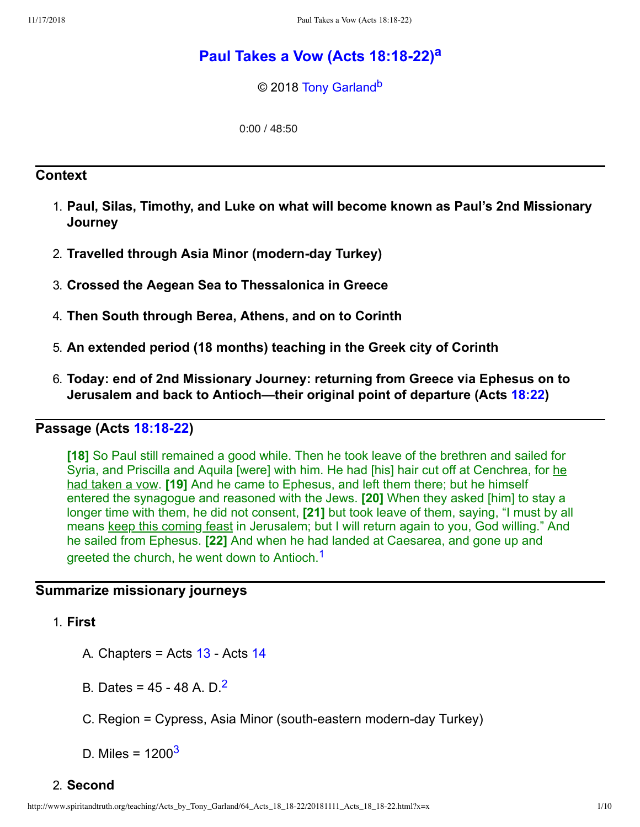# **P[a](#page-9-0)ul Takes a Vow (Acts 18:18-22)<sup>a</sup>**

<span id="page-0-4"></span><span id="page-0-3"></span>© 2018 [Tony Garland](http://www.spiritandtruth.org/id/tg.htm)<sup>[b](#page-9-1)</sup>

0:00 / 48:50

#### **Context**

- 1. **Paul, Silas, Timothy, and Luke on what will become known as Paul's 2nd Missionary Journey**
- 2. **Travelled through Asia Minor (modernday Turkey)**
- 3. **Crossed the Aegean Sea to Thessalonica in Greece**
- 4. **Then South through Berea, Athens, and on to Corinth**
- 5. **An extended period (18 months) teaching in the Greek city of Corinth**
- 6. **Today: end of 2nd Missionary Journey: returning from Greece via Ephesus on to Jerusalem and back to Antioch—their original point of departure (Acts [18:22](http://www.spiritandtruth.org/bibles/nasb/b44c018.htm#Acts_C18V22))**

#### **Passage** (Acts **18:18-22)**

**[18]** So Paul still remained a good while. Then he took leave of the brethren and sailed for Syria, and Priscilla and Aquila [were] with him. He had [his] hair cut off at Cenchrea, for he had taken a vow. **[19]** And he came to Ephesus, and left them there; but he himself entered the synagogue and reasoned with the Jews. **[20]** When they asked [him] to stay a longer time with them, he did not consent, **[21]** but took leave of them, saying, "I must by all means keep this coming feast in Jerusalem; but I will return again to you, God willing." And he sailed from Ephesus. **[22]** And when he had landed at Caesarea, and gone up and greeted the church, he went down to Antioch.<sup>[1](#page-8-0)</sup>

#### **Summarize missionary journeys**

#### 1. **First**

- <span id="page-0-0"></span>A. Chapters = Acts  $13$  - Acts  $14$
- <span id="page-0-1"></span>B. Dates =  $45 - 48$  A. D.<sup>[2](#page-8-1)</sup>
- C. Region = Cypress, Asia Minor (south-eastern modern-day Turkey)
- <span id="page-0-2"></span>D. Miles =  $1200<sup>3</sup>$  $1200<sup>3</sup>$  $1200<sup>3</sup>$

#### 2. **Second**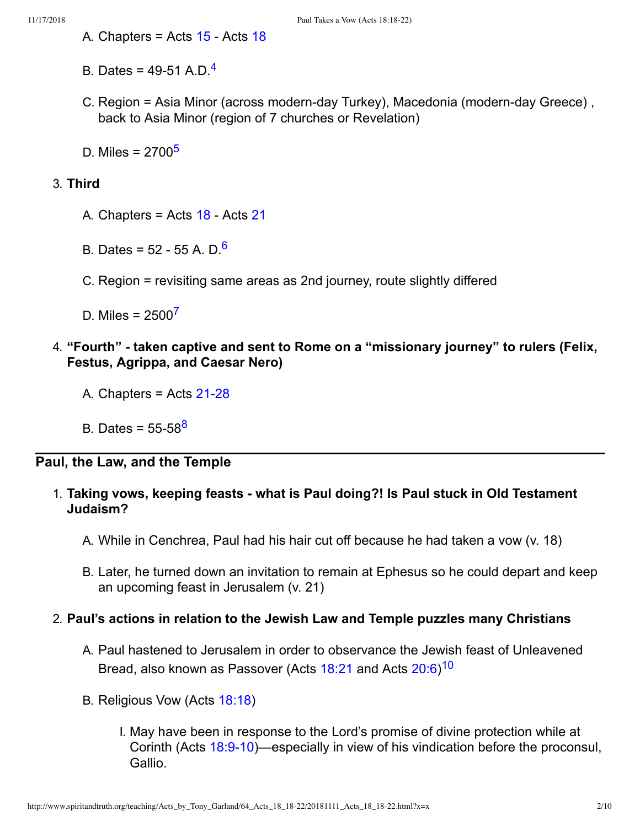- A. Chapters = Acts  $15 15 -$  Acts  $18$
- <span id="page-1-0"></span>B. Dates = [4](#page-8-3)9-51 A.D. $<sup>4</sup>$ </sup>
- C. Region = Asia Minor (across modern-day Turkey), Macedonia (modern-day Greece), back to Asia Minor (region of 7 churches or Revelation)
- <span id="page-1-1"></span>D. Miles = 2700<sup>[5](#page-8-4)</sup>

### 3. **Third**

- A. Chapters = Acts  $18 18 -$  Acts  $21$
- <span id="page-1-2"></span>B. Dates = 52 - 55 A. D.<sup>[6](#page-8-5)</sup>
- C. Region = revisiting same areas as 2nd journey, route slightly differed

<span id="page-1-3"></span>D. Miles =  $2500^7$  $2500^7$ 

- 4. **"Fourth" taken captive and sent to Rome on a "missionary journey" to rulers (Felix, Festus, Agrippa, and Caesar Nero)**
	- A. Chapters  $=$  Acts 21-28
	- B. Dates = 55-5[8](#page-8-7)<sup>8</sup>

# **Paul, the Law, and the Temple**

### <span id="page-1-4"></span>1. **Taking vows, keeping feasts what is Paul doing?! Is Paul stuck in Old Testament Judaism?**

- A. While in Cenchrea, Paul had his hair cut off because he had taken a vow (v. 18)
- B. Later, he turned down an invitation to remain at Ephesus so he could depart and keep an upcoming feast in Jerusalem (v. 21)

### 2. **Paul's actions in relation to the Jewish Law and Temple puzzles many Christians**

- <span id="page-1-5"></span>A. Paul hastened to Jerusalem in order to observance the Jewish feast of Unleavened Bread, also known as Passover (Acts [18:21](http://www.spiritandtruth.org/bibles/nasb/b44c018.htm#Acts_C18V21) and Acts  $20:6$ )<sup>[10](#page-8-8)</sup>
- B. Religious Vow (Acts [18:18](http://www.spiritandtruth.org/bibles/nasb/b44c018.htm#Acts_C18V18))
	- I. May have been in response to the Lord's promise of divine protection while at Corinth (Acts 18:9-10)—especially in view of his vindication before the proconsul, Gallio.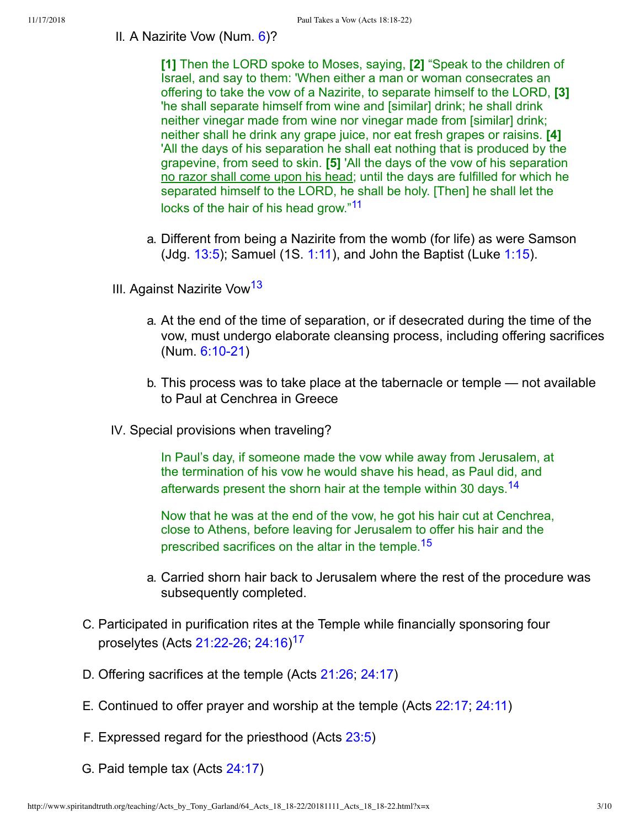#### II. A Nazirite Vow (Num. [6\)](http://www.spiritandtruth.org/bibles/nasb/b04c006.htm#Num._C6V1)?

**[1]** Then the LORD spoke to Moses, saying, **[2]** "Speak to the children of Israel, and say to them: 'When either a man or woman consecrates an offering to take the vow of a Nazirite, to separate himself to the LORD, **[3]** 'he shall separate himself from wine and [similar] drink; he shall drink neither vinegar made from wine nor vinegar made from [similar] drink; neither shall he drink any grape juice, nor eat fresh grapes or raisins. **[4]** 'All the days of his separation he shall eat nothing that is produced by the grapevine, from seed to skin. **[5]** 'All the days of the vow of his separation no razor shall come upon his head; until the days are fulfilled for which he separated himself to the LORD, he shall be holy. [Then] he shall let the locks of the hair of his head grow."<sup>[11](#page-8-9)</sup>

- <span id="page-2-1"></span><span id="page-2-0"></span>a. Different from being a Nazirite from the womb (for life) as were Samson (Jdg.  $13:5$ ); Samuel (1S. [1:11\)](http://www.spiritandtruth.org/bibles/nasb/b09c001.htm#1S._C1V11), and John the Baptist (Luke [1:15\)](http://www.spiritandtruth.org/bibles/nasb/b42c001.htm#Luke_C1V15).
- III. Against Nazirite Vow<sup>[13](#page-8-10)</sup>
	- a. At the end of the time of separation, or if desecrated during the time of the vow, must undergo elaborate cleansing process, including offering sacrifices  $(Num. 6:10-21)$
	- b. This process was to take place at the tabernacle or temple not available to Paul at Cenchrea in Greece
- IV. Special provisions when traveling?

<span id="page-2-2"></span>In Paul's day, if someone made the vow while away from Jerusalem, at the termination of his vow he would shave his head, as Paul did, and afterwards present the shorn hair at the temple within 30 days.<sup>[14](#page-8-11)</sup>

<span id="page-2-3"></span>Now that he was at the end of the vow, he got his hair cut at Cenchrea, close to Athens, before leaving for Jerusalem to offer his hair and the prescribed sacrifices on the altar in the temple.<sup>[15](#page-8-12)</sup>

- <span id="page-2-4"></span>a. Carried shorn hair back to Jerusalem where the rest of the procedure was subsequently completed.
- C. Participated in purification rites at the Temple while financially sponsoring four proselytes (Acts 21:22-26; [24:16\)](http://www.spiritandtruth.org/bibles/nasb/b44c024.htm#Acts_C24V16)<sup>[17](#page-8-13)</sup>
- D. Offering sacrifices at the temple (Acts [21:26](http://www.spiritandtruth.org/bibles/nasb/b44c021.htm#Acts_C21V26); [24:17\)](http://www.spiritandtruth.org/bibles/nasb/b44c024.htm#Acts_C24V17)
- E. Continued to offer prayer and worship at the temple (Acts [22:17](http://www.spiritandtruth.org/bibles/nasb/b44c022.htm#Acts_C22V17); [24:11\)](http://www.spiritandtruth.org/bibles/nasb/b44c024.htm#Acts_C24V11)
- F. Expressed regard for the priesthood (Acts [23:5](http://www.spiritandtruth.org/bibles/nasb/b44c023.htm#Acts_C23V5))
- G. Paid temple tax (Acts [24:17](http://www.spiritandtruth.org/bibles/nasb/b44c024.htm#Acts_C24V17))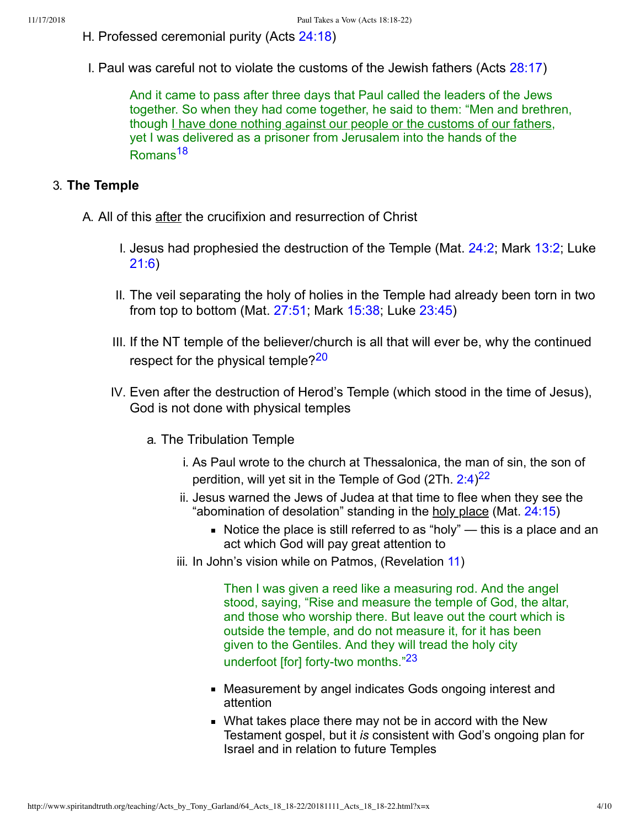- H. Professed ceremonial purity (Acts [24:18\)](http://www.spiritandtruth.org/bibles/nasb/b44c024.htm#Acts_C24V18)
- I. Paul was careful not to violate the customs of the Jewish fathers (Acts [28:17](http://www.spiritandtruth.org/bibles/nasb/b44c028.htm#Acts_C28V17))

<span id="page-3-0"></span>And it came to pass after three days that Paul called the leaders of the Jews together. So when they had come together, he said to them: "Men and brethren, though I have done nothing against our people or the customs of our fathers, yet I was delivered as a prisoner from Jerusalem into the hands of the Romans[18](#page-8-14)

### 3. **The Temple**

- A. All of this after the crucifixion and resurrection of Christ
	- I. Jesus had prophesied the destruction of the Temple (Mat. [24:2;](http://www.spiritandtruth.org/bibles/nasb/b40c024.htm#Mat._C24V2) Mark [13:2](http://www.spiritandtruth.org/bibles/nasb/b41c013.htm#Mark_C13V2); Luke [21:6\)](http://www.spiritandtruth.org/bibles/nasb/b42c021.htm#Luke_C21V6)
	- II. The veil separating the holy of holies in the Temple had already been torn in two from top to bottom (Mat. [27:51;](http://www.spiritandtruth.org/bibles/nasb/b40c027.htm#Mat._C27V51) Mark [15:38;](http://www.spiritandtruth.org/bibles/nasb/b41c015.htm#Mark_C15V38) Luke [23:45](http://www.spiritandtruth.org/bibles/nasb/b42c023.htm#Luke_C23V45))
	- III. If the NT temple of the believer/church is all that will ever be, why the continued respect for the physical temple?<sup>[20](#page-8-15)</sup>
	- IV. Even after the destruction of Herod's Temple (which stood in the time of Jesus), God is not done with physical temples
		- a. The Tribulation Temple
			- i. As Paul wrote to the church at Thessalonica, the man of sin, the son of perdition, will yet sit in the Temple of God (2Th.  $2:4)^{22}$  $2:4)^{22}$  $2:4)^{22}$
			- ii. Jesus warned the Jews of Judea at that time to flee when they see the "abomination of desolation" standing in the holy place (Mat. [24:15\)](http://www.spiritandtruth.org/bibles/nasb/b40c024.htm#Mat._C24V15)
				- Notice the place is still referred to as "holy"  $-$  this is a place and an act which God will pay great attention to
			- iii. In John's vision while on Patmos, (Revelation [11\)](http://www.spiritandtruth.org/bibles/nasb/b66c011.htm#Rev._C11V1)

<span id="page-3-3"></span><span id="page-3-2"></span><span id="page-3-1"></span>Then I was given a reed like a measuring rod. And the angel stood, saying, "Rise and measure the temple of God, the altar, and those who worship there. But leave out the court which is outside the temple, and do not measure it, for it has been given to the Gentiles. And they will tread the holy city underfoot [for] forty-two months."<sup>[23](#page-9-2)</sup>

- Measurement by angel indicates Gods ongoing interest and attention
- What takes place there may not be in accord with the New Testament gospel, but it *is* consistent with God's ongoing plan for Israel and in relation to future Temples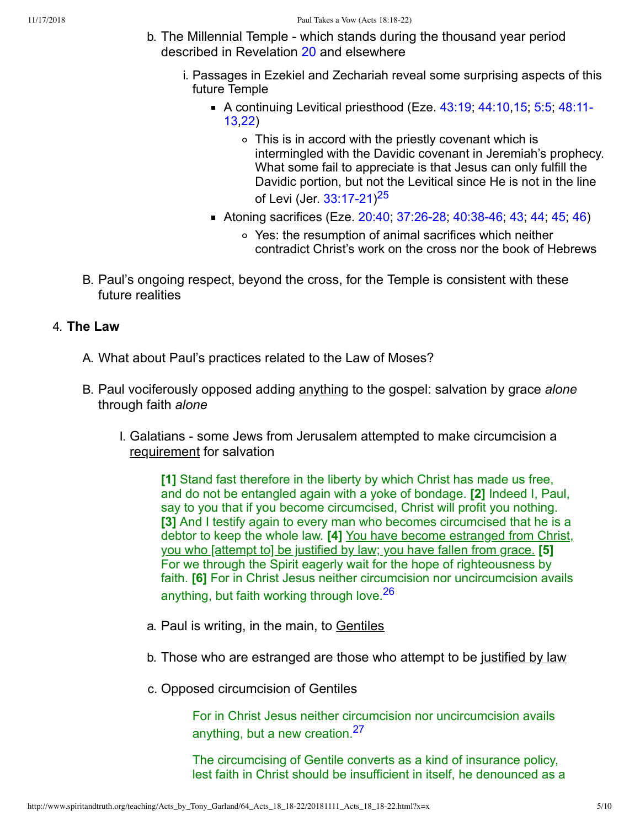- <span id="page-4-0"></span>b. The Millennial Temple - which stands during the thousand year period described in Revelation [20](http://www.spiritandtruth.org/bibles/nasb/b66c020.htm#Rev._C20V1) and elsewhere
	- i. Passages in Ezekiel and Zechariah reveal some surprising aspects of this future Temple
		- A continuing Levitical priesthood (Eze.  $43:19$ ;  $44:10,15$ ; 5:5;  $48:11$ -13,[22](http://www.spiritandtruth.org/bibles/nasb/b26c048.htm#Eze._C48V22))
			- This is in accord with the priestly covenant which is intermingled with the Davidic covenant in Jeremiah's prophecy. What some fail to appreciate is that Jesus can only fulfill the Davidic portion, but not the Levitical since He is not in the line of Levi (Jer. 33:17-21)<sup>[25](#page-9-3)</sup>
		- Atoning sacrifices (Eze. [20:40](http://www.spiritandtruth.org/bibles/nasb/b26c020.htm#Eze._C20V40); 37:26-28; 40:38-46; [43](http://www.spiritandtruth.org/bibles/nasb/b26c040.htm#Eze._C40V43); [44](http://www.spiritandtruth.org/bibles/nasb/b26c040.htm#Eze._C40V44); [45](http://www.spiritandtruth.org/bibles/nasb/b26c040.htm#Eze._C40V45); [46\)](http://www.spiritandtruth.org/bibles/nasb/b26c040.htm#Eze._C40V46)
			- Yes: the resumption of animal sacrifices which neither contradict Christ's work on the cross nor the book of Hebrews
- B. Paul's ongoing respect, beyond the cross, for the Temple is consistent with these future realities

#### 4. **The Law**

- A. What about Paul's practices related to the Law of Moses?
- B. Paul vociferously opposed adding anything to the gospel: salvation by grace *alone* through faith *alone*
	- I. Galatians some Jews from Jerusalem attempted to make circumcision a requirement for salvation

**[1]** Stand fast therefore in the liberty by which Christ has made us free, and do not be entangled again with a yoke of bondage. **[2]** Indeed I, Paul, say to you that if you become circumcised, Christ will profit you nothing. **[3]** And I testify again to every man who becomes circumcised that he is a debtor to keep the whole law. **[4]** You have become estranged from Christ, you who [attempt to] be justified by law; you have fallen from grace. **[5]** For we through the Spirit eagerly wait for the hope of righteousness by faith. **[6]** For in Christ Jesus neither circumcision nor uncircumcision avails anything, but faith working through love.<sup>[26](#page-9-4)</sup>

- a. Paul is writing, in the main, to Gentiles
- b. Those who are estranged are those who attempt to be justified by law
- c. Opposed circumcision of Gentiles

<span id="page-4-2"></span><span id="page-4-1"></span>For in Christ Jesus neither circumcision nor uncircumcision avails anything, but a new creation.[27](#page-9-5)

The circumcising of Gentile converts as a kind of insurance policy, lest faith in Christ should be insufficient in itself, he denounced as a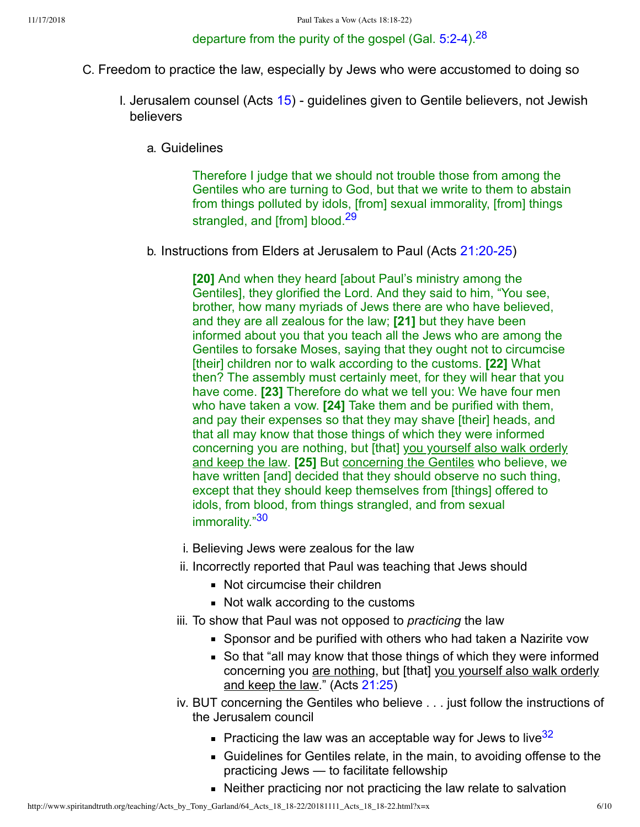## <span id="page-5-0"></span>departure from the purity of the gospel (Gal.  $5:2-4$ ).<sup>[28](#page-9-6)</sup>

- C. Freedom to practice the law, especially by Jews who were accustomed to doing so
	- I. Jerusalem counsel (Acts  $15$ ) quidelines given to Gentile believers, not Jewish believers
		- a. Guidelines

<span id="page-5-1"></span>Therefore I judge that we should not trouble those from among the Gentiles who are turning to God, but that we write to them to abstain from things polluted by idols, [from] sexual immorality, [from] things strangled, and [from] blood.<sup>[29](#page-9-7)</sup>

b. Instructions from Elders at Jerusalem to Paul (Acts 21:20-25)

**[20]** And when they heard [about Paul's ministry among the Gentiles], they glorified the Lord. And they said to him, "You see, brother, how many myriads of Jews there are who have believed, and they are all zealous for the law; **[21]** but they have been informed about you that you teach all the Jews who are among the Gentiles to forsake Moses, saying that they ought not to circumcise [their] children nor to walk according to the customs. **[22]** What then? The assembly must certainly meet, for they will hear that you have come. **[23]** Therefore do what we tell you: We have four men who have taken a vow. **[24]** Take them and be purified with them, and pay their expenses so that they may shave [their] heads, and that all may know that those things of which they were informed concerning you are nothing, but [that] you yourself also walk orderly and keep the law. **[25]** But concerning the Gentiles who believe, we have written [and] decided that they should observe no such thing, except that they should keep themselves from [things] offered to idols, from blood, from things strangled, and from sexual immorality."[30](#page-9-8)

- <span id="page-5-2"></span>i. Believing Jews were zealous for the law
- ii. Incorrectly reported that Paul was teaching that Jews should
	- Not circumcise their children
	- Not walk according to the customs
- iii. To show that Paul was not opposed to *practicing* the law
	- Sponsor and be purified with others who had taken a Nazirite vow
	- So that "all may know that those things of which they were informed concerning you are nothing, but [that] you yourself also walk orderly and keep the law." (Acts [21:25](http://www.spiritandtruth.org/bibles/nasb/b44c021.htm#Acts_C21V25))
- <span id="page-5-3"></span>iv. BUT concerning the Gentiles who believe . . . just follow the instructions of the Jerusalem council
	- Practicing the law was an acceptable way for Jews to live  $32$
	- Guidelines for Gentiles relate, in the main, to avoiding offense to the practicing Jews — to facilitate fellowship
	- Neither practicing nor not practicing the law relate to salvation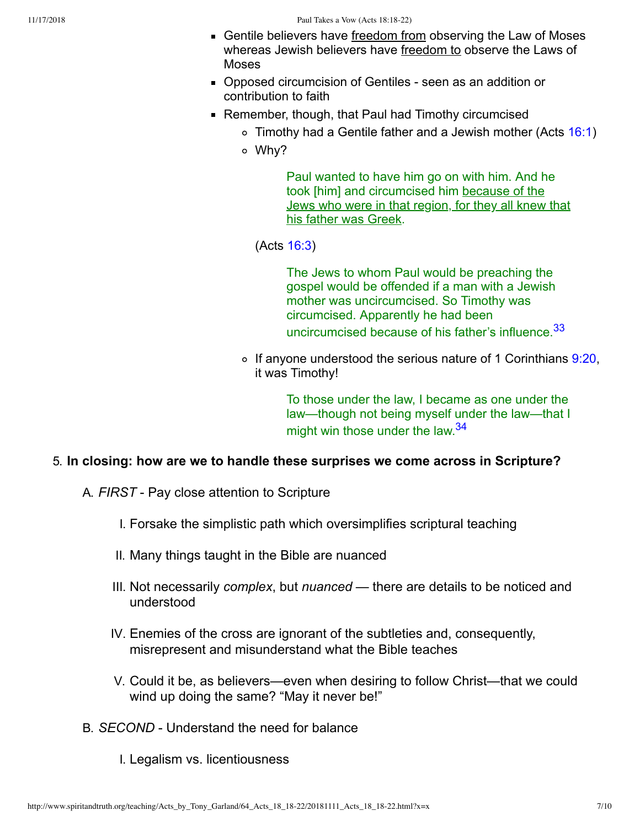- Gentile believers have freedom from observing the Law of Moses whereas Jewish believers have freedom to observe the Laws of Moses
- Opposed circumcision of Gentiles seen as an addition or contribution to faith
- Remember, though, that Paul had Timothy circumcised
	- $\circ$  Timothy had a Gentile father and a Jewish mother (Acts [16:1\)](http://www.spiritandtruth.org/bibles/nasb/b44c016.htm#Acts_C16V1)
	- Why?

Paul wanted to have him go on with him. And he took [him] and circumcised him because of the Jews who were in that region, for they all knew that his father was Greek.

(Acts [16:3](http://www.spiritandtruth.org/bibles/nasb/b44c016.htm#Acts_C16V3))

<span id="page-6-0"></span>The Jews to whom Paul would be preaching the gospel would be offended if a man with a Jewish mother was uncircumcised. So Timothy was circumcised. Apparently he had been uncircumcised because of his father's influence.<sup>[33](#page-9-10)</sup>

 $\circ$  If anyone understood the serious nature of 1 Corinthians [9:20,](http://www.spiritandtruth.org/bibles/nasb/b46c009.htm#1Cor._C9V20) it was Timothy!

> <span id="page-6-1"></span>To those under the law, I became as one under the law—though not being myself under the law—that I might win those under the law.<sup>[34](#page-9-11)</sup>

### 5. **In closing: how are we to handle these surprises we come across in Scripture?**

- A. **FIRST** Pay close attention to Scripture
	- I. Forsake the simplistic path which oversimplifies scriptural teaching
	- II. Many things taught in the Bible are nuanced
	- III. Not necessarily *complex*, but *nuanced* there are details to be noticed and understood
	- IV. Enemies of the cross are ignorant of the subtleties and, consequently, misrepresent and misunderstand what the Bible teaches
	- V. Could it be, as believers—even when desiring to follow Christ—that we could wind up doing the same? "May it never be!"
- B. *SECOND* Understand the need for balance
	- I. Legalism vs. licentiousness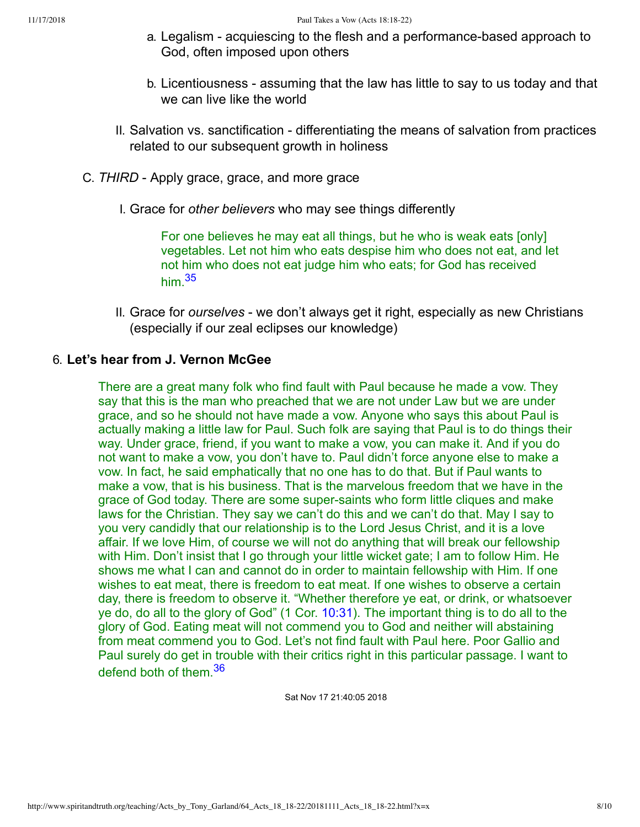- a. Legalism acquiescing to the flesh and a performance-based approach to God, often imposed upon others
- b. Licentiousness assuming that the law has little to say to us today and that we can live like the world
- II. Salvation vs. sanctification differentiating the means of salvation from practices related to our subsequent growth in holiness
- C. **THIRD** Apply grace, grace, and more grace
	- I. Grace for *other believers* who may see things differently

<span id="page-7-0"></span>For one believes he may eat all things, but he who is weak eats [only] vegetables. Let not him who eats despise him who does not eat, and let not him who does not eat judge him who eats; for God has received him  $35$ 

II. Grace for *ourselves* - we don't always get it right, especially as new Christians (especially if our zeal eclipses our knowledge)

#### 6. **Let's hear from J. Vernon McGee**

There are a great many folk who find fault with Paul because he made a vow. They say that this is the man who preached that we are not under Law but we are under grace, and so he should not have made a vow. Anyone who says this about Paul is actually making a little law for Paul. Such folk are saying that Paul is to do things their way. Under grace, friend, if you want to make a vow, you can make it. And if you do not want to make a vow, you don't have to. Paul didn't force anyone else to make a vow. In fact, he said emphatically that no one has to do that. But if Paul wants to make a vow, that is his business. That is the marvelous freedom that we have in the grace of God today. There are some super-saints who form little cliques and make laws for the Christian. They say we can't do this and we can't do that. May I say to you very candidly that our relationship is to the Lord Jesus Christ, and it is a love affair. If we love Him, of course we will not do anything that will break our fellowship with Him. Don't insist that I go through your little wicket gate; I am to follow Him. He shows me what I can and cannot do in order to maintain fellowship with Him. If one wishes to eat meat, there is freedom to eat meat. If one wishes to observe a certain day, there is freedom to observe it. "Whether therefore ye eat, or drink, or whatsoever ye do, do all to the glory of God" (1 Cor. [10:31\)](http://www.spiritandtruth.org/bibles/nasb/b46c010.htm#1Cor._C10V31). The important thing is to do all to the glory of God. Eating meat will not commend you to God and neither will abstaining from meat commend you to God. Let's not find fault with Paul here. Poor Gallio and Paul surely do get in trouble with their critics right in this particular passage. I want to defend both of them.<sup>[36](#page-9-13)</sup>

<span id="page-7-1"></span>Sat Nov 17 21:40:05 2018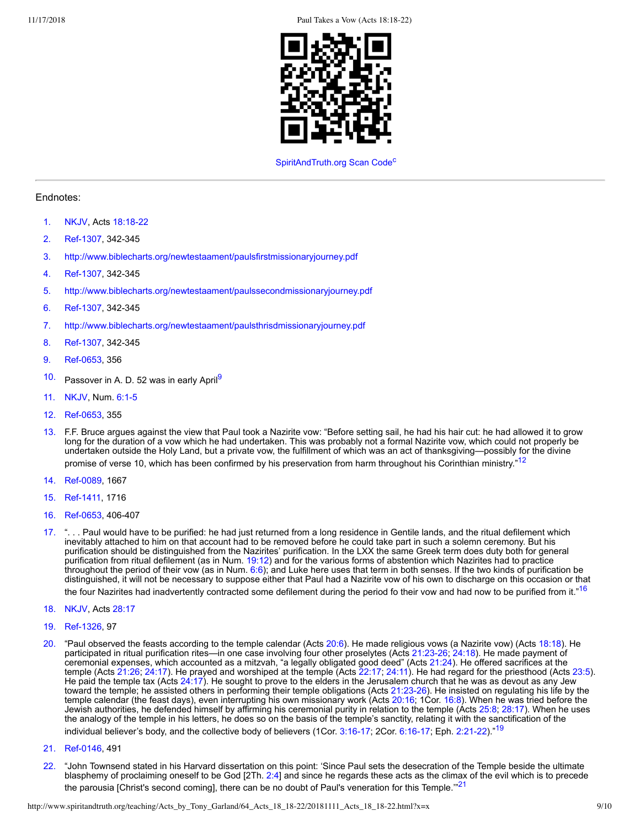11/17/2018 Paul Takes a Vow (Acts 18:18-22)



#### <span id="page-8-27"></span><span id="page-8-21"></span><span id="page-8-19"></span>[SpiritAndTruth.org](http://www.spiritandtruth.org/) S[c](#page-9-14)an Code<sup>c</sup>

#### Endnotes:

- <span id="page-8-0"></span>[1.](#page-0-0) [NKJV,](#page-9-15) Acts 18:18-22
- <span id="page-8-1"></span>[2.](#page-0-1) Ref-1307, 342-345
- <span id="page-8-2"></span>[3.](#page-0-2) <http://www.biblecharts.org/newtestaament/paulsfirstmissionaryjourney.pdf>
- <span id="page-8-3"></span>[4.](#page-1-0) Ref-1307, 342-345
- <span id="page-8-4"></span>[5.](#page-1-1) <http://www.biblecharts.org/newtestaament/paulssecondmissionaryjourney.pdf>
- <span id="page-8-5"></span>[6.](#page-1-2) Ref-1307, 342-345
- <span id="page-8-6"></span>[7.](#page-1-3) <http://www.biblecharts.org/newtestaament/paulsthrisdmissionaryjourney.pdf>
- <span id="page-8-7"></span>[8.](#page-1-4) Ref-1307, 342-345
- <span id="page-8-18"></span>[9.](#page-8-17) Ref-0653, 356
- <span id="page-8-17"></span><span id="page-8-8"></span>[10.](#page-1-5) Passover in A. D. 52 was in early April<sup>[9](#page-8-18)</sup>
- <span id="page-8-9"></span>[11.](#page-2-0) [NKJV,](#page-9-15) Num. 6:1-5
- <span id="page-8-20"></span>[12.](#page-8-19) Ref-0653, 355
- <span id="page-8-10"></span>[13.](#page-2-1) F.F. Bruce argues against the view that Paul took a Nazirite vow: "Before setting sail, he had his hair cut: he had allowed it to grow long for the duration of a vow which he had undertaken. This was probably not a formal Nazirite vow, which could not properly be undertaken outside the Holy Land, but a private vow, the fulfillment of which was an act of thanksgiving—possibly for the divine promise of verse 10, which has been confirmed by his preservation from harm throughout his Corinthian ministry."<sup>[12](#page-8-20)</sup>
- <span id="page-8-11"></span>[14.](#page-2-2) Ref-0089, 1667
- <span id="page-8-12"></span>[15.](#page-2-3) Ref-1411, 1716
- <span id="page-8-22"></span>[16.](#page-8-21) Ref-0653, 406-407
- <span id="page-8-13"></span>[17.](#page-2-4) ". . . Paul would have to be purified: he had just returned from a long residence in Gentile lands, and the ritual defilement which inevitably attached to him on that account had to be removed before he could take part in such a solemn ceremony. But his purification should be distinguished from the Nazirites' purification. In the LXX the same Greek term does duty both for general purification from ritual defilement (as in Num. [19:12\)](http://www.spiritandtruth.org/bibles/nasb/b04c019.htm#Num._C19V12) and for the various forms of abstention which Nazirites had to practice throughout the period of their vow (as in Num. [6:6\)](http://www.spiritandtruth.org/bibles/nasb/b04c006.htm#Num._C6V6); and Luke here uses that term in both senses. If the two kinds of purification be distinguished, it will not be necessary to suppose either that Paul had a Nazirite vow of his own to discharge on this occasion or that the four Nazirites had inadvertently contracted some defilement during the period fo their vow and had now to be purified from it."<sup>[16](#page-8-22)</sup>
- <span id="page-8-14"></span>[18.](#page-3-0) [NKJV,](#page-9-15) Acts [28:17](http://www.spiritandtruth.org/bibles/nasb/b44c028.htm#Acts_C28V17)
- <span id="page-8-24"></span>[19.](#page-8-23) Ref-1326, 97
- <span id="page-8-15"></span>[20.](#page-3-1) "Paul observed the feasts according to the temple calendar (Acts [20:6](http://www.spiritandtruth.org/bibles/nasb/b44c020.htm#Acts_C20V6)). He made religious vows (a Nazirite vow) (Acts [18:18](http://www.spiritandtruth.org/bibles/nasb/b44c018.htm#Acts_C18V18)). He participated in ritual purification rites—in one case involving four other proselytes (Acts 21:23-26; [24:18\)](http://www.spiritandtruth.org/bibles/nasb/b44c024.htm#Acts_C24V18). He made payment of ceremonial expenses, which accounted as a mitzvah, "a legally obligated good deed" (Acts [21:24\)](http://www.spiritandtruth.org/bibles/nasb/b44c021.htm#Acts_C21V24). He offered sacrifices at the temple (Acts [21:26;](http://www.spiritandtruth.org/bibles/nasb/b44c021.htm#Acts_C21V26) [24:17](http://www.spiritandtruth.org/bibles/nasb/b44c024.htm#Acts_C24V17)). He prayed and worshiped at the temple (Acts [22:17](http://www.spiritandtruth.org/bibles/nasb/b44c022.htm#Acts_C22V17); [24:11\)](http://www.spiritandtruth.org/bibles/nasb/b44c024.htm#Acts_C24V11). He had regard for the priesthood (Acts [23:5\)](http://www.spiritandtruth.org/bibles/nasb/b44c023.htm#Acts_C23V5). He paid the temple tax (Acts [24:17\)](http://www.spiritandtruth.org/bibles/nasb/b44c024.htm#Acts_C24V17). He sought to prove to the elders in the Jerusalem church that he was as devout as any Jew toward the temple; he assisted others in performing their temple obligations (Acts 21:23-26). He insisted on regulating his life by the temple calendar (the feast days), even interrupting his own missionary work (Acts [20:16;](http://www.spiritandtruth.org/bibles/nasb/b44c020.htm#Acts_C20V16) 1Cor. [16:8\)](http://www.spiritandtruth.org/bibles/nasb/b46c016.htm#1Cor._C16V8). When he was tried before the Jewish authorities, he defended himself by affirming his ceremonial purity in relation to the temple (Acts [25:8](http://www.spiritandtruth.org/bibles/nasb/b44c025.htm#Acts_C25V8); [28:17\)](http://www.spiritandtruth.org/bibles/nasb/b44c028.htm#Acts_C28V17). When he uses the analogy of the temple in his letters, he does so on the basis of the temple's sanctity, relating it with the sanctification of the individual believer's body, and the collective body of believers (1Cor. 3:16-17; 2Cor. 6:16-17; Eph. 2:21-22)."<sup>[19](#page-8-24)</sup>
- <span id="page-8-26"></span><span id="page-8-23"></span>[21.](#page-8-25) Ref-0146, 491
- <span id="page-8-25"></span><span id="page-8-16"></span>[22.](#page-3-2) "John Townsend stated in his Harvard dissertation on this point: 'Since Paul sets the desecration of the Temple beside the ultimate blasphemy of proclaiming oneself to be God [2Th. [2:4](http://www.spiritandtruth.org/bibles/nasb/b53c002.htm#2Th._C2V4)] and since he regards these acts as the climax of the evil which is to precede the parousia [Christ's second coming], there can be no doubt of Paul's veneration for this Temple."<sup>[21](#page-8-26)</sup>